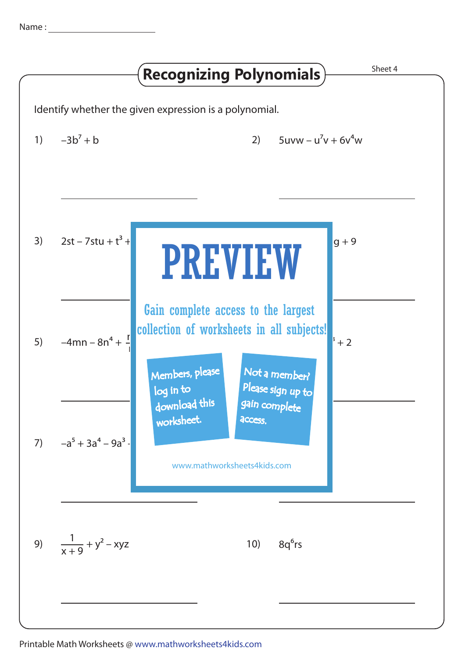